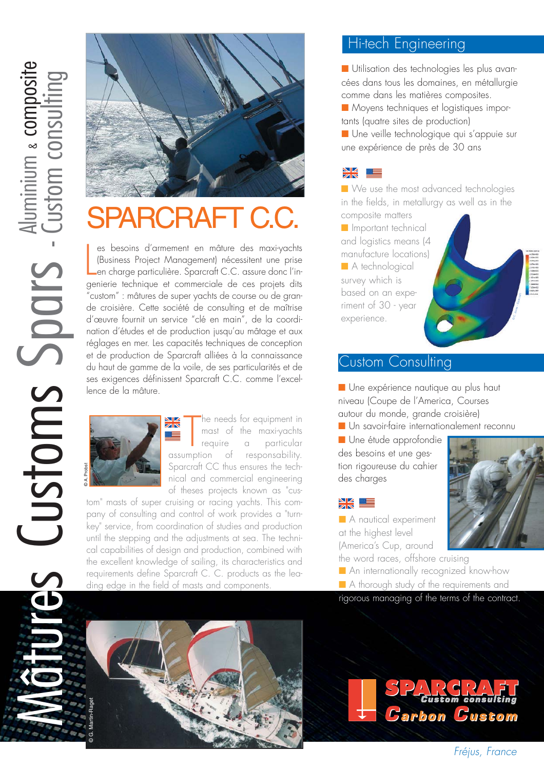

# ARCRAFT C.C.

 $\overline{\mathsf{L}}$ es besoins d'armement en mâture des maxi-yachts (Business Project Management) nécessitent une prise en charge particulière. Sparcraft C.C. assure donc l'ingenierie technique et commerciale de ces projets dits "custom" : mâtures de super yachts de course ou de grande croisière. Cette société de consulting et de maîtrise d'œuvre fournit un service "clé en main", de la coordination d'études et de production jusqu'au mâtage et aux réglages en mer. Les capacités techniques de conception et de production de Sparcraft alliées à la connaissance du haut de gamme de la voile, de ses particularités et de ses exigences définissent Sparcraft C.C. comme l'excellence de la mâture.



The needs tor equipment in<br>
mast of the maxi-yachts<br>
require a particular<br>
assumption of responsability. he needs for equipment in mast of the maxi-yachts require a particular Sparcraft CC thus ensures the technical and commercial engineering of theses projects known as "cus-

tom" masts of super cruising or racing yachts. This company of consulting and control of work provides a "turnkey" service, from coordination of studies and production until the stepping and the adjustments at sea. The technical capabilities of design and production, combined with the excellent knowledge of sailing, its characteristics and requirements define Sparcraft C. C. products as the leading edge in the field of masts and components.

## Hi-tech Engineering

■ Utilisation des technologies les plus avancées dans tous les domaines, en métallurgie comme dans les matières composites.

■ Moyens techniques et logistiques importants (quatre sites de production)

■ Une veille technologique qui s'appuie sur une expérience de près de 30 ans



experience.

■ We use the most advanced technologies in the fields, in metallurgy as well as in the composite matters

■ Important technical and logistics means (4 manufacture locations) ■ A technological survey which is based on an experiment of 30 - year



■ Une expérience nautique au plus haut niveau (Coupe de l'America, Courses autour du monde, grande croisière)

■ Un savoir-faire internationalement reconnu

■ Une étude approfondie des besoins et une gestion rigoureuse du cahier des charges



■ A nautical experiment at the highest level (America's Cup, around



■ A thorough study of the requirements and

rigorous managing of the terms of the contract.



**Carbon Gustom** 



© C. Josse - Sparcraft